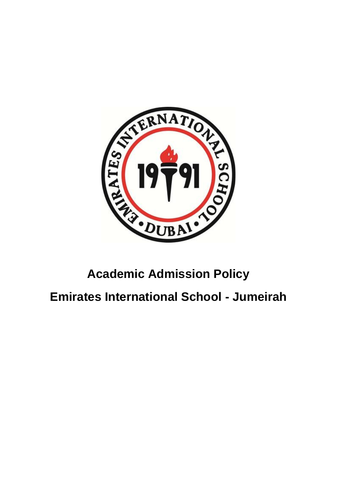

# **Academic Admission Policy**

**Emirates International School - Jumeirah**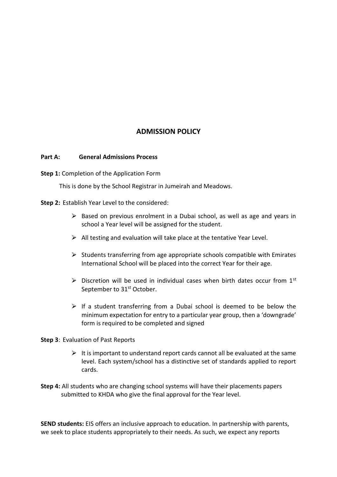# **ADMISSION POLICY**

#### **Part A: General Admissions Process**

**Step 1:** Completion of the Application Form

This is done by the School Registrar in Jumeirah and Meadows.

**Step 2:** Establish Year Level to the considered:

- $\triangleright$  Based on previous enrolment in a Dubai school, as well as age and years in school a Year level will be assigned for the student.
- $\triangleright$  All testing and evaluation will take place at the tentative Year Level.
- $\triangleright$  Students transferring from age appropriate schools compatible with Emirates International School will be placed into the correct Year for their age.
- $\triangleright$  Discretion will be used in individual cases when birth dates occur from 1st September to 31<sup>st</sup> October.
- $\triangleright$  If a student transferring from a Dubai school is deemed to be below the minimum expectation for entry to a particular year group, then a 'downgrade' form is required to be completed and signed

#### **Step 3**: Evaluation of Past Reports

- $\triangleright$  It is important to understand report cards cannot all be evaluated at the same level. Each system/school has a distinctive set of standards applied to report cards.
- **Step 4:** All students who are changing school systems will have their placements papers submitted to KHDA who give the final approval for the Year level.

**SEND students:** EIS offers an inclusive approach to education. In partnership with parents, we seek to place students appropriately to their needs. As such, we expect any reports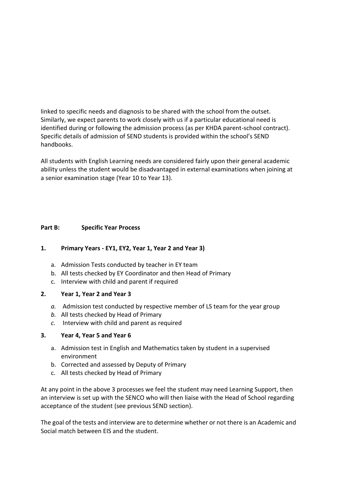linked to specific needs and diagnosis to be shared with the school from the outset. Similarly, we expect parents to work closely with us if a particular educational need is identified during or following the admission process (as per KHDA parent-school contract). Specific details of admission of SEND students is provided within the school's SEND handbooks.

All students with English Learning needs are considered fairly upon their general academic ability unless the student would be disadvantaged in external examinations when joining at a senior examination stage (Year 10 to Year 13).

# **Part B: Specific Year Process**

#### **1. Primary Years - EY1, EY2, Year 1, Year 2 and Year 3)**

- a. Admission Tests conducted by teacher in EY team
- b. All tests checked by EY Coordinator and then Head of Primary
- c. Interview with child and parent if required

#### **2. Year 1, Year 2 and Year 3**

- *a.* Admission test conducted by respective member of LS team for the year group
- *b.* All tests checked by Head of Primary
- *c.* Interview with child and parent as required

#### **3. Year 4, Year 5 and Year 6**

- a. Admission test in English and Mathematics taken by student in a supervised environment
- b. Corrected and assessed by Deputy of Primary
- c. All tests checked by Head of Primary

At any point in the above 3 processes we feel the student may need Learning Support, then an interview is set up with the SENCO who will then liaise with the Head of School regarding acceptance of the student (see previous SEND section).

The goal of the tests and interview are to determine whether or not there is an Academic and Social match between EIS and the student.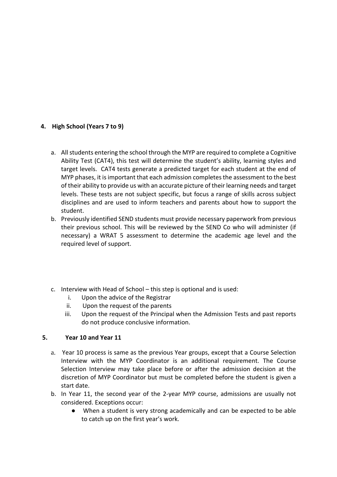# **4. High School (Years 7 to 9)**

- a. All students entering the school through the MYP are required to complete a Cognitive Ability Test (CAT4), this test will determine the student's ability, learning styles and target levels. CAT4 tests generate a predicted target for each student at the end of MYP phases, it is important that each admission completes the assessment to the best of their ability to provide us with an accurate picture of their learning needs and target levels. These tests are not subject specific, but focus a range of skills across subject disciplines and are used to inform teachers and parents about how to support the student.
- b. Previously identified SEND students must provide necessary paperwork from previous their previous school. This will be reviewed by the SEND Co who will administer (if necessary) a WRAT 5 assessment to determine the academic age level and the required level of support.
- c. Interview with Head of School this step is optional and is used:
	- i. Upon the advice of the Registrar
	- ii. Upon the request of the parents
	- iii. Upon the request of the Principal when the Admission Tests and past reports do not produce conclusive information.

# **5. Year 10 and Year 11**

- a. Year 10 process is same as the previous Year groups, except that a Course Selection Interview with the MYP Coordinator is an additional requirement. The Course Selection Interview may take place before or after the admission decision at the discretion of MYP Coordinator but must be completed before the student is given a start date.
- b. In Year 11, the second year of the 2-year MYP course, admissions are usually not considered. Exceptions occur:
	- When a student is very strong academically and can be expected to be able to catch up on the first year's work.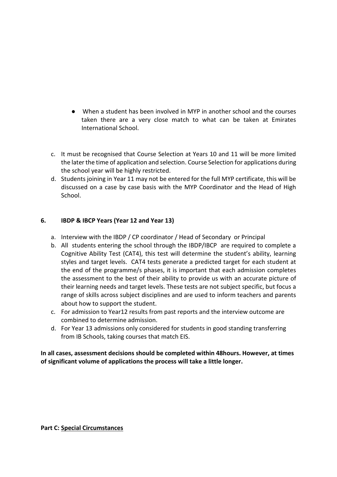- When a student has been involved in MYP in another school and the courses taken there are a very close match to what can be taken at Emirates International School.
- c. It must be recognised that Course Selection at Years 10 and 11 will be more limited the later the time of application and selection. Course Selection for applications during the school year will be highly restricted.
- d. Students joining in Year 11 may not be entered for the full MYP certificate, this will be discussed on a case by case basis with the MYP Coordinator and the Head of High School.

# **6. IBDP & IBCP Years (Year 12 and Year 13)**

- a. Interview with the IBDP / CP coordinator / Head of Secondary or Principal
- b. All students entering the school through the IBDP/IBCP are required to complete a Cognitive Ability Test (CAT4), this test will determine the student's ability, learning styles and target levels. CAT4 tests generate a predicted target for each student at the end of the programme/s phases, it is important that each admission completes the assessment to the best of their ability to provide us with an accurate picture of their learning needs and target levels. These tests are not subject specific, but focus a range of skills across subject disciplines and are used to inform teachers and parents about how to support the student.
- c. For admission to Year12 results from past reports and the interview outcome are combined to determine admission.
- d. For Year 13 admissions only considered for students in good standing transferring from IB Schools, taking courses that match EIS.

**In all cases, assessment decisions should be completed within 48hours. However, at times of significant volume of applications the process will take a little longer.**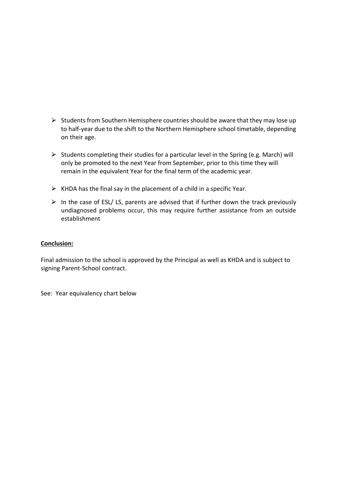- $\triangleright$  Students from Southern Hemisphere countries should be aware that they may lose up to half-year due to the shift to the Northern Hemisphere school timetable, depending on their age.
- $\triangleright$  Students completing their studies for a particular level in the Spring (e.g. March) will only be promoted to the next Year from September, prior to this time they will remain in the equivalent Year for the final term of the academic year.
- $\triangleright$  KHDA has the final say in the placement of a child in a specific Year.
- $\triangleright$  In the case of ESL/ LS, parents are advised that if further down the track previously undiagnosed problems occur, this may require further assistance from an outside establishment

#### **Conclusion:**

Final admission to the school is approved by the Principal as well as KHDA and is subject to signing Parent-School contract.

See: Year equivalency chart below